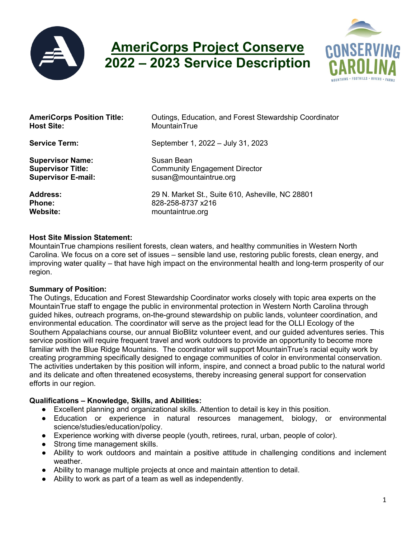

# **AmeriCorps Project Conserve 2022 – 2023 Service Description**



| <b>AmeriCorps Position Title:</b> | Outings, Education, and Forest Stewardship Coordinator |
|-----------------------------------|--------------------------------------------------------|
| <b>Host Site:</b>                 | MountainTrue                                           |
| <b>Service Term:</b>              | September 1, 2022 - July 31, 2023                      |
| <b>Supervisor Name:</b>           | Susan Bean                                             |
| <b>Supervisor Title:</b>          | <b>Community Engagement Director</b>                   |
| <b>Supervisor E-mail:</b>         | susan@mountaintrue.org                                 |
| <b>Address:</b>                   | 29 N. Market St., Suite 610, Asheville, NC 28801       |
| <b>Phone:</b>                     | 828-258-8737 x216                                      |
| <b>Website:</b>                   | mountaintrue.org                                       |

#### **Host Site Mission Statement:**

MountainTrue champions resilient forests, clean waters, and healthy communities in Western North Carolina. We focus on a core set of issues – sensible land use, restoring public forests, clean energy, and improving water quality – that have high impact on the environmental health and long-term prosperity of our region.

#### **Summary of Position:**

The Outings, Education and Forest Stewardship Coordinator works closely with topic area experts on the MountainTrue staff to engage the public in environmental protection in Western North Carolina through guided hikes, outreach programs, on-the-ground stewardship on public lands, volunteer coordination, and environmental education. The coordinator will serve as the project lead for the OLLI Ecology of the Southern Appalachians course, our annual BioBlitz volunteer event, and our guided adventures series. This service position will require frequent travel and work outdoors to provide an opportunity to become more familiar with the Blue Ridge Mountains. The coordinator will support MountainTrue's racial equity work by creating programming specifically designed to engage communities of color in environmental conservation. The activities undertaken by this position will inform, inspire, and connect a broad public to the natural world and its delicate and often threatened ecosystems, thereby increasing general support for conservation efforts in our region.

# **Qualifications – Knowledge, Skills, and Abilities:**

- Excellent planning and organizational skills. Attention to detail is key in this position.
- Education or experience in natural resources management, biology, or environmental science/studies/education/policy.
- Experience working with diverse people (youth, retirees, rural, urban, people of color).
- Strong time management skills.
- Ability to work outdoors and maintain a positive attitude in challenging conditions and inclement weather.
- Ability to manage multiple projects at once and maintain attention to detail.
- Ability to work as part of a team as well as independently.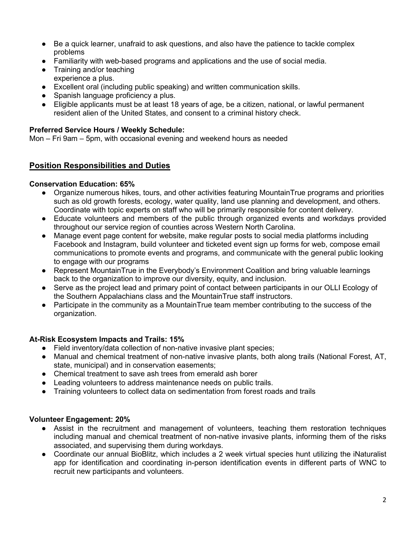- Be a quick learner, unafraid to ask questions, and also have the patience to tackle complex problems
- Familiarity with web-based programs and applications and the use of social media.
- Training and/or teaching experience a plus.
- Excellent oral (including public speaking) and written communication skills.
- Spanish language proficiency a plus.
- Eligible applicants must be at least 18 years of age, be a citizen, national, or lawful permanent resident alien of the United States, and consent to a criminal history check.

#### **Preferred Service Hours / Weekly Schedule:**

Mon – Fri 9am – 5pm, with occasional evening and weekend hours as needed

## **Position Responsibilities and Duties**

#### **Conservation Education: 65%**

- Organize numerous hikes, tours, and other activities featuring MountainTrue programs and priorities such as old growth forests, ecology, water quality, land use planning and development, and others. Coordinate with topic experts on staff who will be primarily responsible for content delivery.
- Educate volunteers and members of the public through organized events and workdays provided throughout our service region of counties across Western North Carolina.
- Manage event page content for website, make regular posts to social media platforms including Facebook and Instagram, build volunteer and ticketed event sign up forms for web, compose email communications to promote events and programs, and communicate with the general public looking to engage with our programs
- Represent MountainTrue in the Everybody's Environment Coalition and bring valuable learnings back to the organization to improve our diversity, equity, and inclusion.
- Serve as the project lead and primary point of contact between participants in our OLLI Ecology of the Southern Appalachians class and the MountainTrue staff instructors.
- Participate in the community as a MountainTrue team member contributing to the success of the organization.

#### **At-Risk Ecosystem Impacts and Trails: 15%**

- Field inventory/data collection of non-native invasive plant species;
- Manual and chemical treatment of non-native invasive plants, both along trails (National Forest, AT, state, municipal) and in conservation easements;
- Chemical treatment to save ash trees from emerald ash borer
- Leading volunteers to address maintenance needs on public trails.
- Training volunteers to collect data on sedimentation from forest roads and trails

#### **Volunteer Engagement: 20%**

- Assist in the recruitment and management of volunteers, teaching them restoration techniques including manual and chemical treatment of non-native invasive plants, informing them of the risks associated, and supervising them during workdays.
- Coordinate our annual BioBlitz, which includes a 2 week virtual species hunt utilizing the iNaturalist app for identification and coordinating in-person identification events in different parts of WNC to recruit new participants and volunteers.